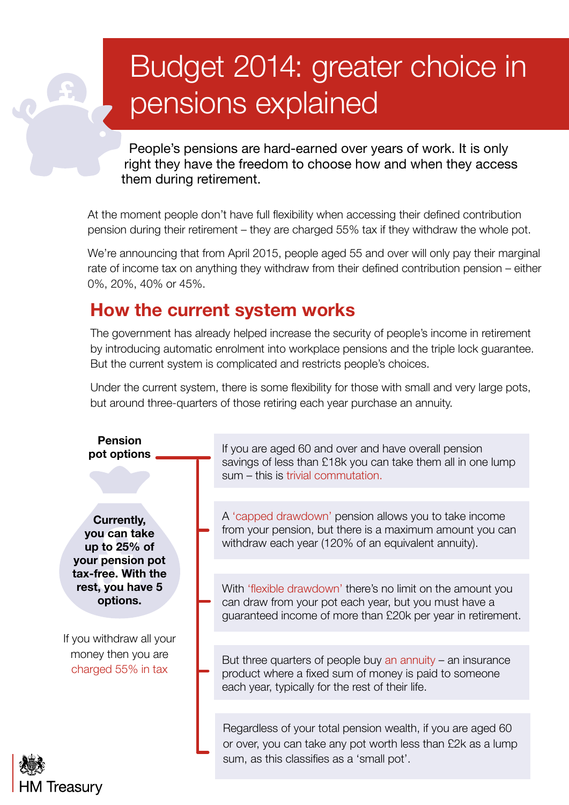# Budget 2014: greater choice in pensions explained

People's pensions are hard-earned over years of work. It is only right they have the freedom to choose how and when they access them during retirement.

At the moment people don't have full flexibility when accessing their defined contribution pension during their retirement – they are charged 55% tax if they withdraw the whole pot.

We're announcing that from April 2015, people aged 55 and over will only pay their marginal rate of income tax on anything they withdraw from their defined contribution pension – either 0%, 20%, 40% or 45%.

## **How the current system works**

The government has already helped increase the security of people's income in retirement by introducing automatic enrolment into workplace pensions and the triple lock guarantee. But the current system is complicated and restricts people's choices.

Under the current system, there is some flexibility for those with small and very large pots, but around three-quarters of those retiring each year purchase an annuity.